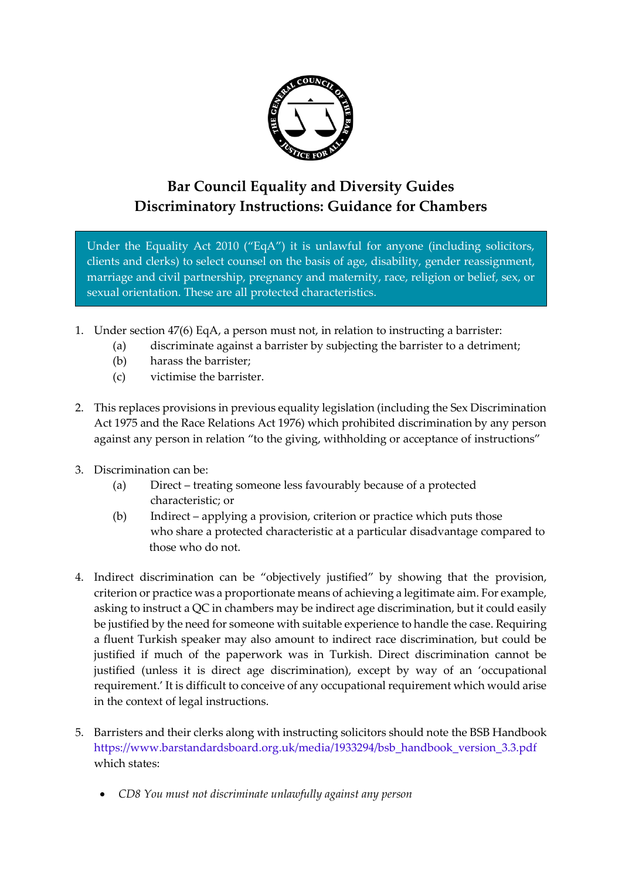

## **Bar Council Equality and Diversity Guides Discriminatory Instructions: Guidance for Chambers**

Under the Equality Act 2010 ("EqA") it is unlawful for anyone (including solicitors, clients and clerks) to select counsel on the basis of age, disability, gender reassignment, marriage and civil partnership, pregnancy and maternity, race, religion or belief, sex, or sexual orientation. These are all protected characteristics.

- 1. Under section 47(6) EqA, a person must not, in relation to instructing a barrister:
	- (a) discriminate against a barrister by subjecting the barrister to a detriment;
	- (b) harass the barrister;
	- (c) victimise the barrister.
- 2. This replaces provisions in previous equality legislation (including the Sex Discrimination Act 1975 and the Race Relations Act 1976) which prohibited discrimination by any person against any person in relation "to the giving, withholding or acceptance of instructions"
- 3. Discrimination can be:
	- (a) Direct treating someone less favourably because of a protected characteristic; or
	- (b) Indirect applying a provision, criterion or practice which puts those who share a protected characteristic at a particular disadvantage compared to those who do not.
- 4. Indirect discrimination can be "objectively justified" by showing that the provision, criterion or practice was a proportionate means of achieving a legitimate aim. For example, asking to instruct a QC in chambers may be indirect age discrimination, but it could easily be justified by the need for someone with suitable experience to handle the case. Requiring a fluent Turkish speaker may also amount to indirect race discrimination, but could be justified if much of the paperwork was in Turkish. Direct discrimination cannot be justified (unless it is direct age discrimination), except by way of an 'occupational requirement.' It is difficult to conceive of any occupational requirement which would arise in the context of legal instructions.
- 5. Barristers and their clerks along with instructing solicitors should note the BSB Handbook [https://www.barstandardsboard.org.uk/media/1933294/bsb\\_handbook\\_version\\_3.3.pdf](https://www.barstandardsboard.org.uk/media/1933294/bsb_handbook_version_3.3.pdf) which states:
	- *CD8 You must not discriminate unlawfully against any person*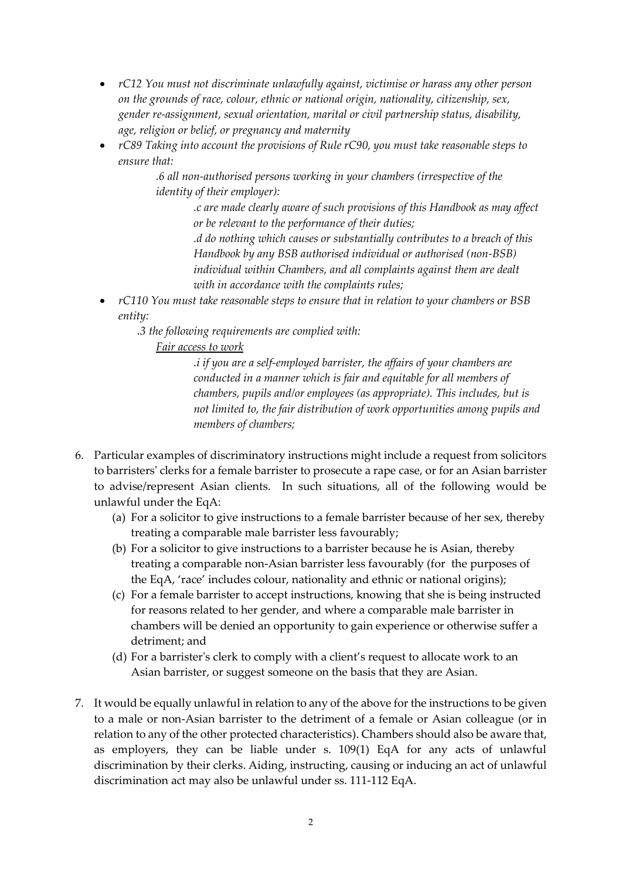- *rC12 You must not discriminate unlawfully against, victimise or harass any other person on the grounds of race, colour, ethnic or national origin, nationality, citizenship, sex, gender re-assignment, sexual orientation, marital or civil partnership status, disability, age, religion or belief, or pregnancy and maternity*
- *rC89 Taking into account the provisions of Rule rC90, you must take reasonable steps to ensure that:*

*.6 all non-authorised persons working in your chambers (irrespective of the identity of their employer):* 

> *.c are made clearly aware of such provisions of this Handbook as may affect or be relevant to the performance of their duties;*

*.d do nothing which causes or substantially contributes to a breach of this Handbook by any BSB authorised individual or authorised (non-BSB) individual within Chambers, and all complaints against them are dealt with in accordance with the complaints rules;*

- *rC110 You must take reasonable steps to ensure that in relation to your chambers or BSB entity:* 
	- *.3 the following requirements are complied with:*

## *Fair access to work*

*.i if you are a self-employed barrister, the affairs of your chambers are conducted in a manner which is fair and equitable for all members of chambers, pupils and/or employees (as appropriate). This includes, but is not limited to, the fair distribution of work opportunities among pupils and members of chambers;*

- 6. Particular examples of discriminatory instructions might include a request from solicitors to barristers' clerks for a female barrister to prosecute a rape case, or for an Asian barrister to advise/represent Asian clients. In such situations, all of the following would be unlawful under the EqA:
	- (a) For a solicitor to give instructions to a female barrister because of her sex, thereby treating a comparable male barrister less favourably;
	- (b) For a solicitor to give instructions to a barrister because he is Asian, thereby treating a comparable non-Asian barrister less favourably (for the purposes of the EqA, 'race' includes colour, nationality and ethnic or national origins);
	- (c) For a female barrister to accept instructions, knowing that she is being instructed for reasons related to her gender, and where a comparable male barrister in chambers will be denied an opportunity to gain experience or otherwise suffer a detriment; and
	- (d) For a barrister's clerk to comply with a client's request to allocate work to an Asian barrister, or suggest someone on the basis that they are Asian.
- 7. It would be equally unlawful in relation to any of the above for the instructions to be given to a male or non-Asian barrister to the detriment of a female or Asian colleague (or in relation to any of the other protected characteristics). Chambers should also be aware that, as employers, they can be liable under s. 109(1) EqA for any acts of unlawful discrimination by their clerks. Aiding, instructing, causing or inducing an act of unlawful discrimination act may also be unlawful under ss. 111-112 EqA.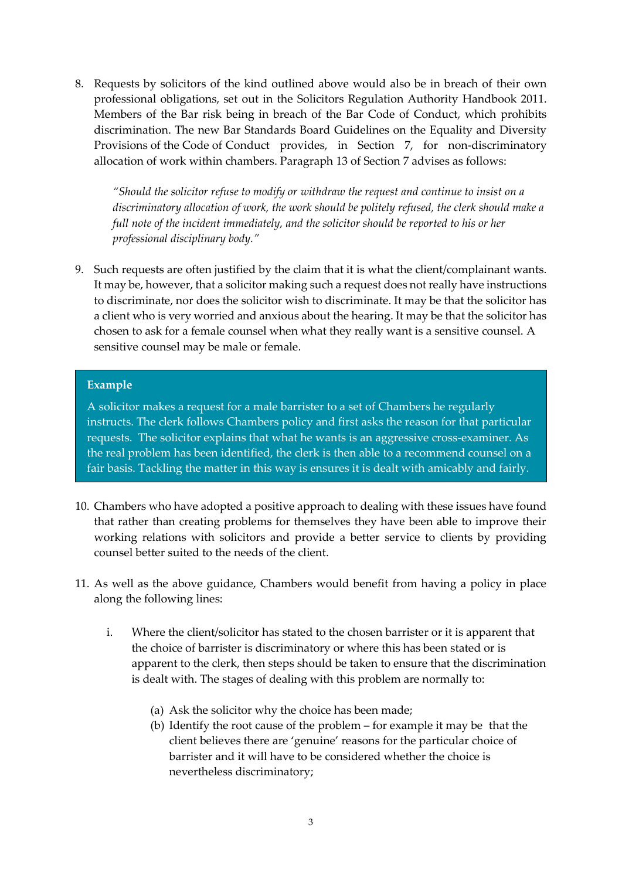8. Requests by solicitors of the kind outlined above would also be in breach of their own professional obligations, set out in the Solicitors Regulation Authority Handbook 2011. Members of the Bar risk being in breach of the Bar Code of Conduct, which prohibits discrimination. The new Bar Standards Board Guidelines on the Equality and Diversity Provisions of the Code of Conduct provides, in Section 7, for non-discriminatory allocation of work within chambers. Paragraph 13 of Section 7 advises as follows:

*"Should the solicitor refuse to modify or withdraw the request and continue to insist on a discriminatory allocation of work, the work should be politely refused, the clerk should make a full note of the incident immediately, and the solicitor should be reported to his or her professional disciplinary body."*

9. Such requests are often justified by the claim that it is what the client/complainant wants. It may be, however, that a solicitor making such a request does not really have instructions to discriminate, nor does the solicitor wish to discriminate. It may be that the solicitor has a client who is very worried and anxious about the hearing. It may be that the solicitor has chosen to ask for a female counsel when what they really want is a sensitive counsel. A sensitive counsel may be male or female.

## **Example**

A solicitor makes a request for a male barrister to a set of Chambers he regularly instructs. The clerk follows Chambers policy and first asks the reason for that particular requests. The solicitor explains that what he wants is an aggressive cross-examiner. As the real problem has been identified, the clerk is then able to a recommend counsel on a fair basis. Tackling the matter in this way is ensures it is dealt with amicably and fairly.

- 10. Chambers who have adopted a positive approach to dealing with these issues have found that rather than creating problems for themselves they have been able to improve their working relations with solicitors and provide a better service to clients by providing counsel better suited to the needs of the client.
- 11. As well as the above guidance, Chambers would benefit from having a policy in place along the following lines:
	- i. Where the client/solicitor has stated to the chosen barrister or it is apparent that the choice of barrister is discriminatory or where this has been stated or is apparent to the clerk, then steps should be taken to ensure that the discrimination is dealt with. The stages of dealing with this problem are normally to:
		- (a) Ask the solicitor why the choice has been made;
		- (b) Identify the root cause of the problem for example it may be that the client believes there are 'genuine' reasons for the particular choice of barrister and it will have to be considered whether the choice is nevertheless discriminatory;